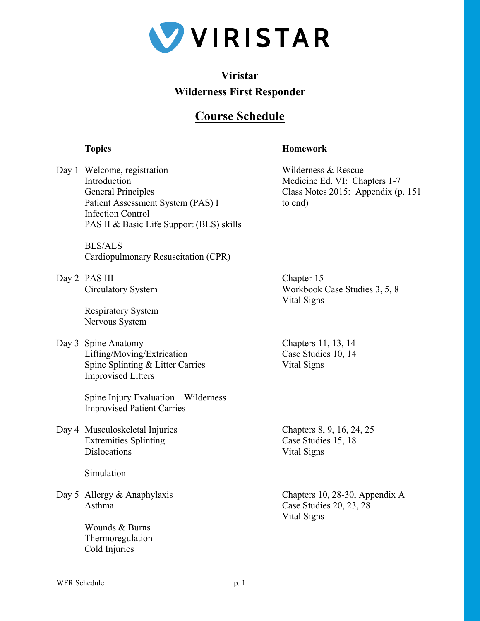

## **Viristar Wilderness First Responder**

## **Course Schedule**

## **Topics Homework**

Day 1 Welcome, registration Wilderness & Rescue Introduction Medicine Ed. VI: Chapters 1-7 General Principles Class Notes 2015: Appendix (p. 151) Patient Assessment System (PAS) I to end) Infection Control PAS II & Basic Life Support (BLS) skills

 BLS/ALS Cardiopulmonary Resuscitation (CPR)

Day 2 PAS III Chapter 15

 Respiratory System Nervous System

Day 3 Spine Anatomy Chapters 11, 13, 14 Lifting/Moving/Extrication Case Studies 10, 14 Spine Splinting & Litter Carries Vital Signs Improvised Litters

 Spine Injury Evaluation—Wilderness Improvised Patient Carries

Day 4 Musculoskeletal Injuries Chapters 8, 9, 16, 24, 25 Extremities Splinting Case Studies 15, 18 Dislocations Vital Signs

Simulation

Asthma Case Studies 20, 23, 28

 Wounds & Burns Thermoregulation Cold Injuries

 Circulatory System Workbook Case Studies 3, 5, 8 Vital Signs

Day 5 Allergy & Anaphylaxis Chapters 10, 28-30, Appendix A Vital Signs